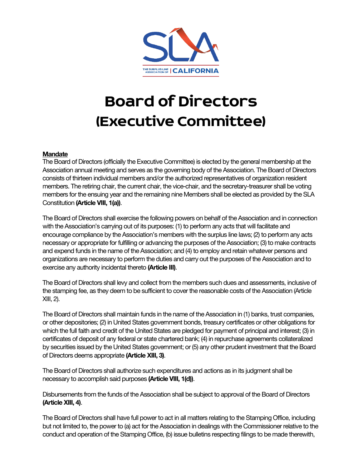

## **Board of Directors (Executive Committee)**

## **Mandate**

The Board of Directors (officially the Executive Committee) is elected by the general membership at the Association annual meeting and serves as the governing body of the Association. The Board of Directors consists of thirteen individual members and/or the authorized representatives of organization resident members. The retiring chair, the current chair, the vice-chair, and the secretary-treasurer shall be voting members for the ensuing year and the remaining nine Members shall be elected as provided by the SLA Constitution **(Article VIII, 1(a))**.

The Board of Directors shall exercise the following powers on behalf of the Association and in connection with the Association's carrying out of its purposes: (1) to perform any acts that will facilitate and encourage compliance by the Association's members with the surplus line laws; (2) to perform any acts necessary or appropriate for fulfilling or advancing the purposes of the Association; (3) to make contracts and expend funds in the name of the Association; and (4) to employ and retain whatever persons and organizations are necessary to perform the duties and carry out the purposes of the Association and to exercise any authority incidental thereto **(Article III)**.

The Board of Directors shall levy and collect from the members such dues and assessments, inclusive of the stamping fee, as they deem to be sufficient to cover the reasonable costs of the Association (Article XIII, 2).

The Board of Directors shall maintain funds in the name of the Association in (1) banks, trust companies, or other depositories; (2) in United States government bonds, treasury certificates or other obligations for which the full faith and credit of the United States are pledged for payment of principal and interest; (3) in certificates of deposit of any federal or state chartered bank; (4) in repurchase agreements collateralized by securities issued by the United States government; or (5) any other prudent investment that the Board of Directors deems appropriate **(Article XIII, 3)**.

The Board of Directors shall authorize such expenditures and actions as in its judgment shall be necessary to accomplish said purposes **(Article VIII, 1(d))**.

Disbursements from the funds of the Association shall be subject to approval of the Board of Directors **(Article XIII, 4)**.

The Board of Directors shall have full power to act in all matters relating to the Stamping Office, including but not limited to, the power to (a) act for the Association in dealings with the Commissioner relative to the conduct and operation of the Stamping Office, (b) issue bulletins respecting filings to be made therewith,